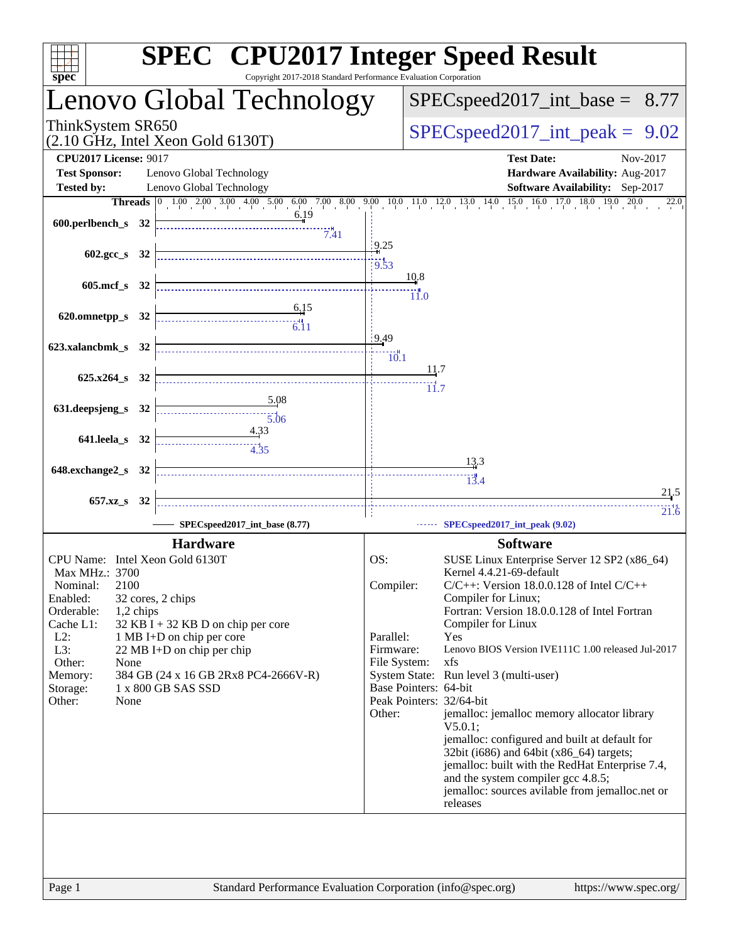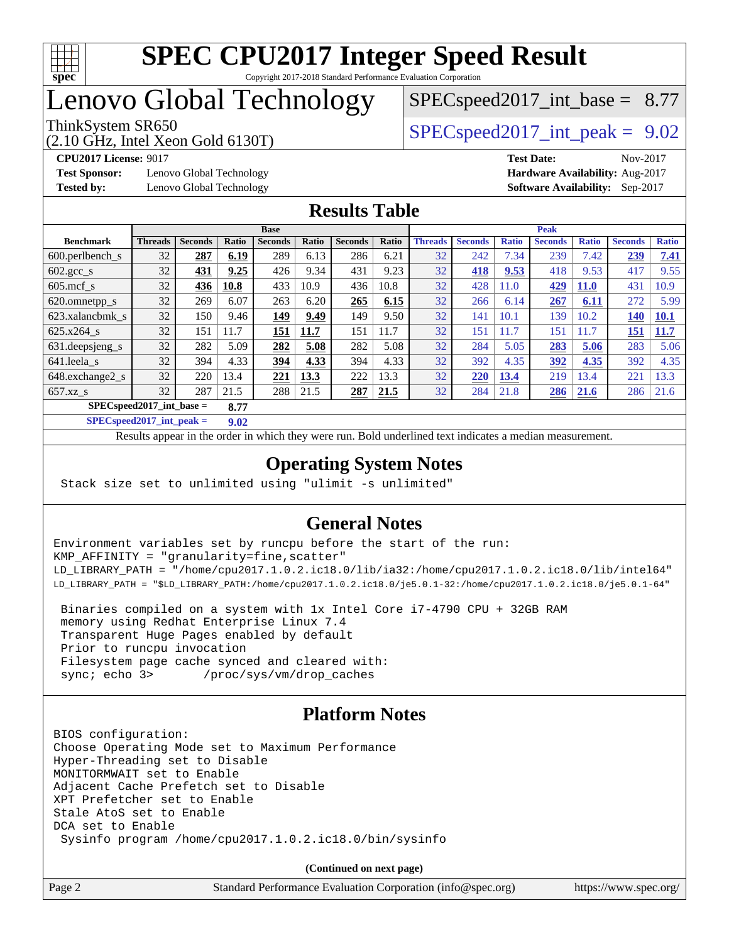

# Lenovo Global Technology

 $SPECspeed2017\_int\_base = 8.77$ 

(2.10 GHz, Intel Xeon Gold 6130T)

ThinkSystem SR650  $SPEC speed2017$  int peak = 9.02

**[Test Sponsor:](http://www.spec.org/auto/cpu2017/Docs/result-fields.html#TestSponsor)** Lenovo Global Technology **[Hardware Availability:](http://www.spec.org/auto/cpu2017/Docs/result-fields.html#HardwareAvailability)** Aug-2017 **[Tested by:](http://www.spec.org/auto/cpu2017/Docs/result-fields.html#Testedby)** Lenovo Global Technology **[Software Availability:](http://www.spec.org/auto/cpu2017/Docs/result-fields.html#SoftwareAvailability)** Sep-2017

**[CPU2017 License:](http://www.spec.org/auto/cpu2017/Docs/result-fields.html#CPU2017License)** 9017 **[Test Date:](http://www.spec.org/auto/cpu2017/Docs/result-fields.html#TestDate)** Nov-2017

## **[Results Table](http://www.spec.org/auto/cpu2017/Docs/result-fields.html#ResultsTable)**

|                                    | <b>Base</b>    |                |       |                |       |                | <b>Peak</b> |                |                |              |                |              |                |              |
|------------------------------------|----------------|----------------|-------|----------------|-------|----------------|-------------|----------------|----------------|--------------|----------------|--------------|----------------|--------------|
| <b>Benchmark</b>                   | <b>Threads</b> | <b>Seconds</b> | Ratio | <b>Seconds</b> | Ratio | <b>Seconds</b> | Ratio       | <b>Threads</b> | <b>Seconds</b> | <b>Ratio</b> | <b>Seconds</b> | <b>Ratio</b> | <b>Seconds</b> | <b>Ratio</b> |
| $600.$ perlbench_s                 | 32             | 287            | 6.19  | 289            | 6.13  | 286            | 6.21        | 32             | 242            | 7.34         | 239            | 7.42         | 239            | 7.41         |
| $602.\text{gcc s}$                 | 32             | 431            | 9.25  | 426            | 9.34  | 431            | 9.23        | 32             | 418            | 9.53         | 418            | 9.53         | 417            | 9.55         |
| $605$ .mcf s                       | 32             | 436            | 10.8  | 433            | 10.9  | 436            | 10.8        | 32             | 428            | 11.0         | 429            | <b>11.0</b>  | 431            | 10.9         |
| 620.omnetpp_s                      | 32             | 269            | 6.07  | 263            | 6.20  | 265            | 6.15        | 32             | 266            | 6.14         | 267            | 6.11         | 272            | 5.99         |
| 623.xalancbmk s                    | 32             | 150            | 9.46  | 149            | 9.49  | 149            | 9.50        | 32             | 141            | 10.1         | 139            | 10.2         | 140            | 10.1         |
| 625.x264 s                         | 32             | 151            | 11.7  | 151            | 11.7  | 151            | 11.7        | 32             | 151            | 11.7         | 151            | 1.7          | 151            | <b>11.7</b>  |
| 631.deepsjeng_s                    | 32             | 282            | 5.09  | 282            | 5.08  | 282            | 5.08        | 32             | 284            | 5.05         | 283            | 5.06         | 283            | 5.06         |
| 641.leela s                        | 32             | 394            | 4.33  | 394            | 4.33  | 394            | 4.33        | 32             | 392            | 4.35         | 392            | 4.35         | 392            | 4.35         |
| 648.exchange2_s                    | 32             | 220            | 13.4  | 221            | 13.3  | 222            | 13.3        | 32             | 220            | 13.4         | 219            | 3.4          | 221            | 13.3         |
| $657.xz$ <sub>S</sub>              | 32             | 287            | 21.5  | 288            | 21.5  | 287            | 21.5        | 32             | 284            | 21.8         | 286            | 21.6         | 286            | 21.6         |
| $SPECspeed2017$ int base =<br>8.77 |                |                |       |                |       |                |             |                |                |              |                |              |                |              |

**[SPECspeed2017\\_int\\_peak =](http://www.spec.org/auto/cpu2017/Docs/result-fields.html#SPECspeed2017intpeak) 9.02**

Results appear in the [order in which they were run.](http://www.spec.org/auto/cpu2017/Docs/result-fields.html#RunOrder) Bold underlined text [indicates a median measurement](http://www.spec.org/auto/cpu2017/Docs/result-fields.html#Median).

## **[Operating System Notes](http://www.spec.org/auto/cpu2017/Docs/result-fields.html#OperatingSystemNotes)**

Stack size set to unlimited using "ulimit -s unlimited"

## **[General Notes](http://www.spec.org/auto/cpu2017/Docs/result-fields.html#GeneralNotes)**

Environment variables set by runcpu before the start of the run: KMP\_AFFINITY = "granularity=fine,scatter" LD\_LIBRARY\_PATH = "/home/cpu2017.1.0.2.ic18.0/lib/ia32:/home/cpu2017.1.0.2.ic18.0/lib/intel64" LD\_LIBRARY\_PATH = "\$LD\_LIBRARY\_PATH:/home/cpu2017.1.0.2.ic18.0/je5.0.1-32:/home/cpu2017.1.0.2.ic18.0/je5.0.1-64"

 Binaries compiled on a system with 1x Intel Core i7-4790 CPU + 32GB RAM memory using Redhat Enterprise Linux 7.4 Transparent Huge Pages enabled by default Prior to runcpu invocation Filesystem page cache synced and cleared with: sync; echo 3> /proc/sys/vm/drop\_caches

## **[Platform Notes](http://www.spec.org/auto/cpu2017/Docs/result-fields.html#PlatformNotes)**

BIOS configuration: Choose Operating Mode set to Maximum Performance Hyper-Threading set to Disable MONITORMWAIT set to Enable Adjacent Cache Prefetch set to Disable XPT Prefetcher set to Enable Stale AtoS set to Enable DCA set to Enable Sysinfo program /home/cpu2017.1.0.2.ic18.0/bin/sysinfo

**(Continued on next page)**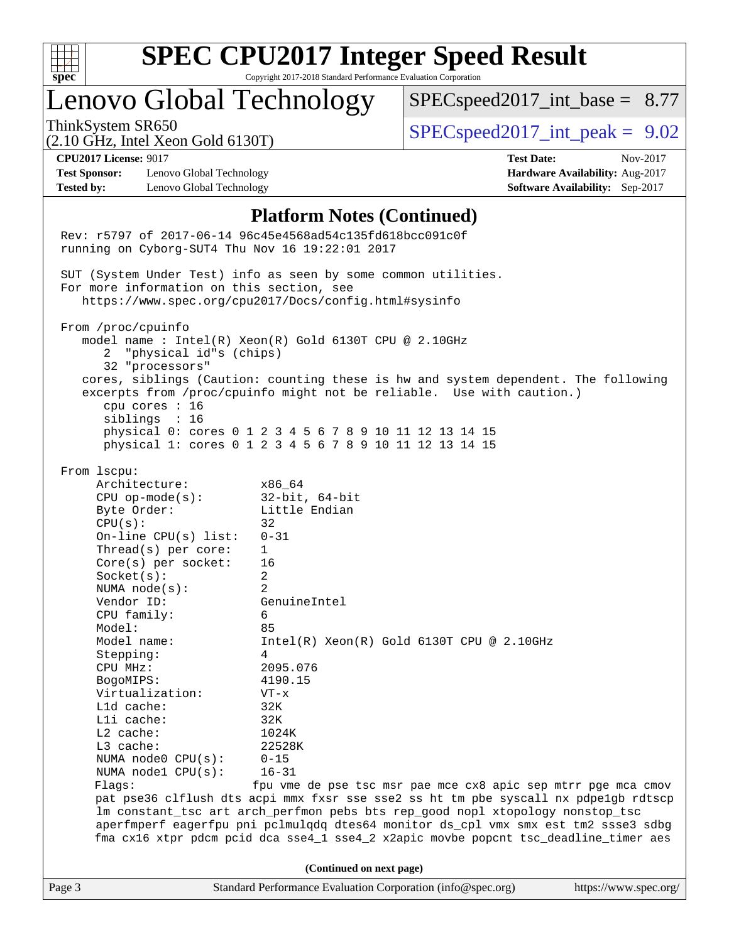

# **[SPEC CPU2017 Integer Speed Result](http://www.spec.org/auto/cpu2017/Docs/result-fields.html#SPECCPU2017IntegerSpeedResult)**

Copyright 2017-2018 Standard Performance Evaluation Corporation

# Lenovo Global Technology

 $SPECspeed2017\_int\_base = 8.77$ 

(2.10 GHz, Intel Xeon Gold 6130T)

ThinkSystem SR650  $SPEC speed2017$  int peak = 9.02

**[Test Sponsor:](http://www.spec.org/auto/cpu2017/Docs/result-fields.html#TestSponsor)** Lenovo Global Technology **[Hardware Availability:](http://www.spec.org/auto/cpu2017/Docs/result-fields.html#HardwareAvailability)** Aug-2017 **[Tested by:](http://www.spec.org/auto/cpu2017/Docs/result-fields.html#Testedby)** Lenovo Global Technology **[Software Availability:](http://www.spec.org/auto/cpu2017/Docs/result-fields.html#SoftwareAvailability)** Sep-2017

**[CPU2017 License:](http://www.spec.org/auto/cpu2017/Docs/result-fields.html#CPU2017License)** 9017 **[Test Date:](http://www.spec.org/auto/cpu2017/Docs/result-fields.html#TestDate)** Nov-2017

#### **[Platform Notes \(Continued\)](http://www.spec.org/auto/cpu2017/Docs/result-fields.html#PlatformNotes)**

Page 3 Standard Performance Evaluation Corporation [\(info@spec.org\)](mailto:info@spec.org) <https://www.spec.org/> Rev: r5797 of 2017-06-14 96c45e4568ad54c135fd618bcc091c0f running on Cyborg-SUT4 Thu Nov 16 19:22:01 2017 SUT (System Under Test) info as seen by some common utilities. For more information on this section, see <https://www.spec.org/cpu2017/Docs/config.html#sysinfo> From /proc/cpuinfo model name : Intel(R) Xeon(R) Gold 6130T CPU @ 2.10GHz 2 "physical id"s (chips) 32 "processors" cores, siblings (Caution: counting these is hw and system dependent. The following excerpts from /proc/cpuinfo might not be reliable. Use with caution.) cpu cores : 16 siblings : 16 physical 0: cores 0 1 2 3 4 5 6 7 8 9 10 11 12 13 14 15 physical 1: cores 0 1 2 3 4 5 6 7 8 9 10 11 12 13 14 15 From lscpu: Architecture: x86\_64 CPU op-mode(s): 32-bit, 64-bit Byte Order: Little Endian  $CPU(s):$  32 On-line CPU(s) list: 0-31 Thread(s) per core: 1 Core(s) per socket: 16 Socket(s): 2 NUMA node(s): 2 Vendor ID: GenuineIntel CPU family: 6 Model: 85<br>Model name: 1n  $Intel(R)$  Xeon $(R)$  Gold 6130T CPU @ 2.10GHz Stepping: 4 CPU MHz: 2095.076 BogoMIPS: 4190.15 Virtualization: VT-x L1d cache: 32K L1i cache: 32K L2 cache: 1024K L3 cache: 22528K NUMA node0 CPU(s): 0-15 NUMA node1 CPU(s): 16-31 Flags: fpu vme de pse tsc msr pae mce cx8 apic sep mtrr pge mca cmov pat pse36 clflush dts acpi mmx fxsr sse sse2 ss ht tm pbe syscall nx pdpe1gb rdtscp lm constant\_tsc art arch\_perfmon pebs bts rep\_good nopl xtopology nonstop\_tsc aperfmperf eagerfpu pni pclmulqdq dtes64 monitor ds\_cpl vmx smx est tm2 ssse3 sdbg fma cx16 xtpr pdcm pcid dca sse4\_1 sse4\_2 x2apic movbe popcnt tsc\_deadline\_timer aes **(Continued on next page)**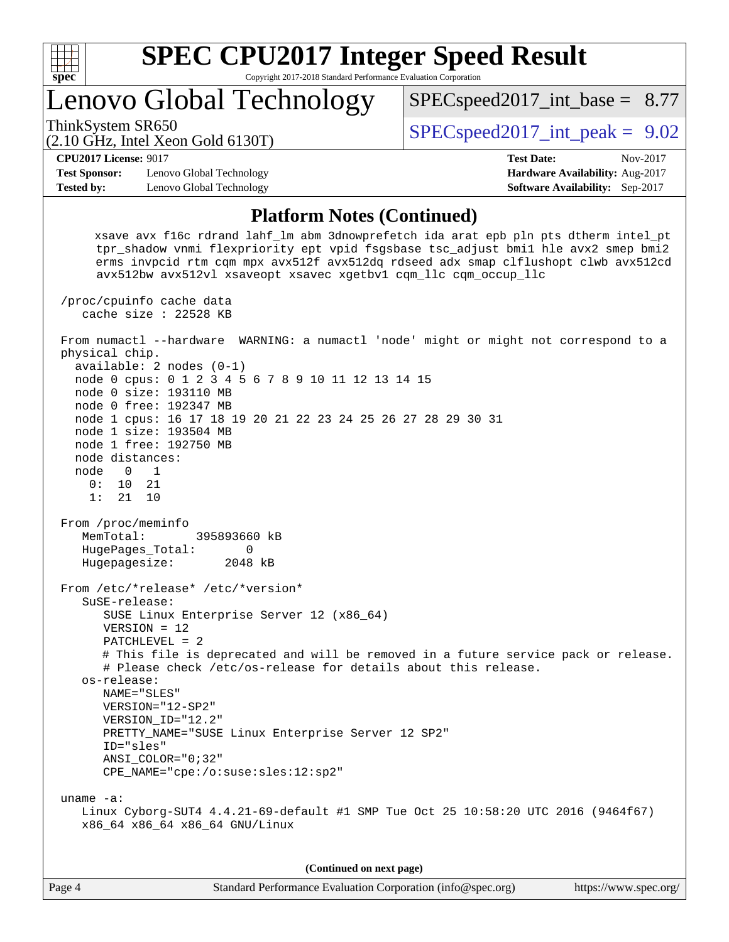

Lenovo Global Technology

ThinkSystem SR650  $SPEC speed2017$  int peak = 9.02

 $SPECspeed2017\_int\_base = 8.77$ 

(2.10 GHz, Intel Xeon Gold 6130T)

**[Test Sponsor:](http://www.spec.org/auto/cpu2017/Docs/result-fields.html#TestSponsor)** Lenovo Global Technology **[Hardware Availability:](http://www.spec.org/auto/cpu2017/Docs/result-fields.html#HardwareAvailability)** Aug-2017 **[Tested by:](http://www.spec.org/auto/cpu2017/Docs/result-fields.html#Testedby)** Lenovo Global Technology **[Software Availability:](http://www.spec.org/auto/cpu2017/Docs/result-fields.html#SoftwareAvailability)** Sep-2017

**[CPU2017 License:](http://www.spec.org/auto/cpu2017/Docs/result-fields.html#CPU2017License)** 9017 **[Test Date:](http://www.spec.org/auto/cpu2017/Docs/result-fields.html#TestDate)** Nov-2017

### **[Platform Notes \(Continued\)](http://www.spec.org/auto/cpu2017/Docs/result-fields.html#PlatformNotes)**

 xsave avx f16c rdrand lahf\_lm abm 3dnowprefetch ida arat epb pln pts dtherm intel\_pt tpr\_shadow vnmi flexpriority ept vpid fsgsbase tsc\_adjust bmi1 hle avx2 smep bmi2 erms invpcid rtm cqm mpx avx512f avx512dq rdseed adx smap clflushopt clwb avx512cd avx512bw avx512vl xsaveopt xsavec xgetbv1 cqm\_llc cqm\_occup\_llc

 /proc/cpuinfo cache data cache size : 22528 KB From numactl --hardware WARNING: a numactl 'node' might or might not correspond to a physical chip. available: 2 nodes (0-1) node 0 cpus: 0 1 2 3 4 5 6 7 8 9 10 11 12 13 14 15 node 0 size: 193110 MB node 0 free: 192347 MB node 1 cpus: 16 17 18 19 20 21 22 23 24 25 26 27 28 29 30 31 node 1 size: 193504 MB node 1 free: 192750 MB node distances: node 0 1 0: 10 21 1: 21 10 From /proc/meminfo MemTotal: 395893660 kB HugePages\_Total: 0 Hugepagesize: 2048 kB From /etc/\*release\* /etc/\*version\* SuSE-release: SUSE Linux Enterprise Server 12 (x86\_64) VERSION = 12 PATCHLEVEL = 2 # This file is deprecated and will be removed in a future service pack or release. # Please check /etc/os-release for details about this release. os-release: NAME="SLES" VERSION="12-SP2" VERSION\_ID="12.2" PRETTY\_NAME="SUSE Linux Enterprise Server 12 SP2" ID="sles" ANSI\_COLOR="0;32" CPE\_NAME="cpe:/o:suse:sles:12:sp2" uname -a: Linux Cyborg-SUT4 4.4.21-69-default #1 SMP Tue Oct 25 10:58:20 UTC 2016 (9464f67) x86\_64 x86\_64 x86\_64 GNU/Linux **(Continued on next page)**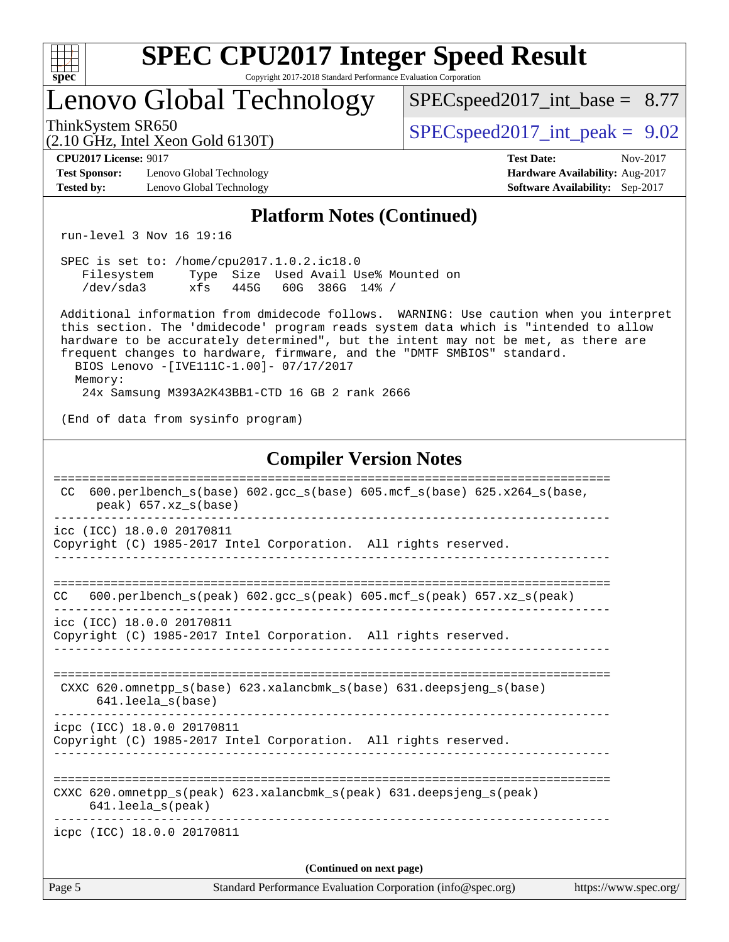| ę.<br>ť<br>L<br>z |  |  |  |  |  |  |  |
|-------------------|--|--|--|--|--|--|--|

# Lenovo Global Technology

 $SPECspeed2017\_int\_base = 8.77$ 

ThinkSystem SR650  $SPEC speed2017$  int peak = 9.02

**[Test Sponsor:](http://www.spec.org/auto/cpu2017/Docs/result-fields.html#TestSponsor)** Lenovo Global Technology **[Hardware Availability:](http://www.spec.org/auto/cpu2017/Docs/result-fields.html#HardwareAvailability)** Aug-2017 **[Tested by:](http://www.spec.org/auto/cpu2017/Docs/result-fields.html#Testedby)** Lenovo Global Technology **[Software Availability:](http://www.spec.org/auto/cpu2017/Docs/result-fields.html#SoftwareAvailability)** Sep-2017

(2.10 GHz, Intel Xeon Gold 6130T)

**[CPU2017 License:](http://www.spec.org/auto/cpu2017/Docs/result-fields.html#CPU2017License)** 9017 **[Test Date:](http://www.spec.org/auto/cpu2017/Docs/result-fields.html#TestDate)** Nov-2017

## **[Platform Notes \(Continued\)](http://www.spec.org/auto/cpu2017/Docs/result-fields.html#PlatformNotes)**

run-level 3 Nov 16 19:16

|            | SPEC is set to: /home/cpu2017.1.0.2.ic18.0 |  |  |                     |  |                                      |  |
|------------|--------------------------------------------|--|--|---------------------|--|--------------------------------------|--|
| Filesystem |                                            |  |  |                     |  | Type Size Used Avail Use% Mounted on |  |
| /dev/sda3  | xfs                                        |  |  | 445G 60G 386G 14% / |  |                                      |  |

 Additional information from dmidecode follows. WARNING: Use caution when you interpret this section. The 'dmidecode' program reads system data which is "intended to allow hardware to be accurately determined", but the intent may not be met, as there are frequent changes to hardware, firmware, and the "DMTF SMBIOS" standard. BIOS Lenovo -[IVE111C-1.00]- 07/17/2017

Memory:

24x Samsung M393A2K43BB1-CTD 16 GB 2 rank 2666

(End of data from sysinfo program)

#### **[Compiler Version Notes](http://www.spec.org/auto/cpu2017/Docs/result-fields.html#CompilerVersionNotes)**

| Page 5 | Standard Performance Evaluation Corporation (info@spec.org)                                                                | https://www.spec.org/ |
|--------|----------------------------------------------------------------------------------------------------------------------------|-----------------------|
|        | (Continued on next page)                                                                                                   |                       |
|        | icpc (ICC) 18.0.0 20170811                                                                                                 |                       |
|        | CXXC 620.omnetpp $s(\text{peak})$ 623.xalancbmk $s(\text{peak})$ 631.deepsjeng $s(\text{peak})$<br>$641.$ leela $s$ (peak) |                       |
|        | icpc (ICC) 18.0.0 20170811<br>Copyright (C) 1985-2017 Intel Corporation. All rights reserved.                              |                       |
|        | CXXC 620.omnetpp $s(base)$ 623.xalancbmk $s(base)$ 631.deepsjeng $s(base)$<br>$641.$ leela $s$ (base)                      |                       |
|        | icc (ICC) 18.0.0 20170811<br>Copyright (C) 1985-2017 Intel Corporation. All rights reserved.                               |                       |
| CC.    | $600. perlbench_s (peak) 602. gcc_s (peak) 605. mcf_s (peak) 657. xz_s (peak)$                                             |                       |
|        | icc (ICC) 18.0.0 20170811<br>Copyright (C) 1985-2017 Intel Corporation. All rights reserved.                               |                       |
| CC.    | 600.perlbench $s(base)$ 602.gcc $s(base)$ 605.mcf $s(base)$ 625.x264 $s(base)$ ,<br>peak) 657.xz s(base)                   |                       |
|        |                                                                                                                            |                       |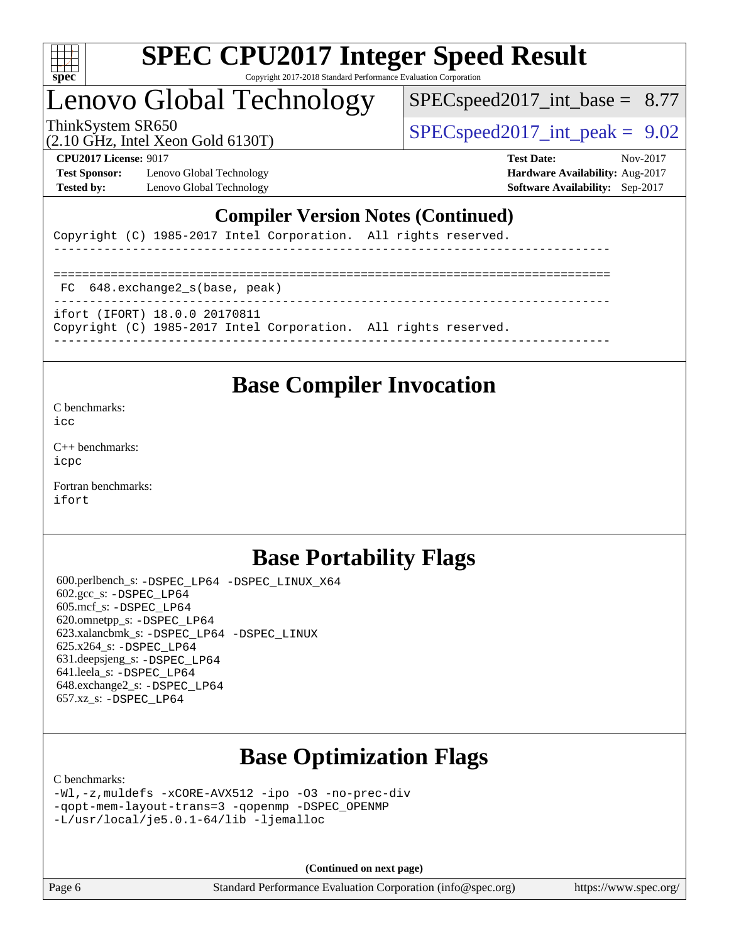

# Lenovo Global Technology

 $SPECspeed2017\_int\_base = 8.77$ 

(2.10 GHz, Intel Xeon Gold 6130T)

ThinkSystem SR650  $SPEC speed2017$  int peak = 9.02

**[Test Sponsor:](http://www.spec.org/auto/cpu2017/Docs/result-fields.html#TestSponsor)** Lenovo Global Technology **[Hardware Availability:](http://www.spec.org/auto/cpu2017/Docs/result-fields.html#HardwareAvailability)** Aug-2017 **[Tested by:](http://www.spec.org/auto/cpu2017/Docs/result-fields.html#Testedby)** Lenovo Global Technology **[Software Availability:](http://www.spec.org/auto/cpu2017/Docs/result-fields.html#SoftwareAvailability)** Sep-2017

**[CPU2017 License:](http://www.spec.org/auto/cpu2017/Docs/result-fields.html#CPU2017License)** 9017 **[Test Date:](http://www.spec.org/auto/cpu2017/Docs/result-fields.html#TestDate)** Nov-2017

## **[Compiler Version Notes \(Continued\)](http://www.spec.org/auto/cpu2017/Docs/result-fields.html#CompilerVersionNotes)**

Copyright (C) 1985-2017 Intel Corporation. All rights reserved.

------------------------------------------------------------------------------ ============================================================================== FC 648.exchange2\_s(base, peak) ----------------------------------------------------------------------------- ifort (IFORT) 18.0.0 20170811 Copyright (C) 1985-2017 Intel Corporation. All rights reserved. ------------------------------------------------------------------------------

## **[Base Compiler Invocation](http://www.spec.org/auto/cpu2017/Docs/result-fields.html#BaseCompilerInvocation)**

[C benchmarks](http://www.spec.org/auto/cpu2017/Docs/result-fields.html#Cbenchmarks):

[icc](http://www.spec.org/cpu2017/results/res2017q4/cpu2017-20171127-01061.flags.html#user_CCbase_intel_icc_18.0_66fc1ee009f7361af1fbd72ca7dcefbb700085f36577c54f309893dd4ec40d12360134090235512931783d35fd58c0460139e722d5067c5574d8eaf2b3e37e92)

[C++ benchmarks:](http://www.spec.org/auto/cpu2017/Docs/result-fields.html#CXXbenchmarks) [icpc](http://www.spec.org/cpu2017/results/res2017q4/cpu2017-20171127-01061.flags.html#user_CXXbase_intel_icpc_18.0_c510b6838c7f56d33e37e94d029a35b4a7bccf4766a728ee175e80a419847e808290a9b78be685c44ab727ea267ec2f070ec5dc83b407c0218cded6866a35d07)

[Fortran benchmarks](http://www.spec.org/auto/cpu2017/Docs/result-fields.html#Fortranbenchmarks): [ifort](http://www.spec.org/cpu2017/results/res2017q4/cpu2017-20171127-01061.flags.html#user_FCbase_intel_ifort_18.0_8111460550e3ca792625aed983ce982f94888b8b503583aa7ba2b8303487b4d8a21a13e7191a45c5fd58ff318f48f9492884d4413fa793fd88dd292cad7027ca)

## **[Base Portability Flags](http://www.spec.org/auto/cpu2017/Docs/result-fields.html#BasePortabilityFlags)**

 600.perlbench\_s: [-DSPEC\\_LP64](http://www.spec.org/cpu2017/results/res2017q4/cpu2017-20171127-01061.flags.html#b600.perlbench_s_basePORTABILITY_DSPEC_LP64) [-DSPEC\\_LINUX\\_X64](http://www.spec.org/cpu2017/results/res2017q4/cpu2017-20171127-01061.flags.html#b600.perlbench_s_baseCPORTABILITY_DSPEC_LINUX_X64) 602.gcc\_s: [-DSPEC\\_LP64](http://www.spec.org/cpu2017/results/res2017q4/cpu2017-20171127-01061.flags.html#suite_basePORTABILITY602_gcc_s_DSPEC_LP64) 605.mcf\_s: [-DSPEC\\_LP64](http://www.spec.org/cpu2017/results/res2017q4/cpu2017-20171127-01061.flags.html#suite_basePORTABILITY605_mcf_s_DSPEC_LP64) 620.omnetpp\_s: [-DSPEC\\_LP64](http://www.spec.org/cpu2017/results/res2017q4/cpu2017-20171127-01061.flags.html#suite_basePORTABILITY620_omnetpp_s_DSPEC_LP64) 623.xalancbmk\_s: [-DSPEC\\_LP64](http://www.spec.org/cpu2017/results/res2017q4/cpu2017-20171127-01061.flags.html#suite_basePORTABILITY623_xalancbmk_s_DSPEC_LP64) [-DSPEC\\_LINUX](http://www.spec.org/cpu2017/results/res2017q4/cpu2017-20171127-01061.flags.html#b623.xalancbmk_s_baseCXXPORTABILITY_DSPEC_LINUX) 625.x264\_s: [-DSPEC\\_LP64](http://www.spec.org/cpu2017/results/res2017q4/cpu2017-20171127-01061.flags.html#suite_basePORTABILITY625_x264_s_DSPEC_LP64) 631.deepsjeng\_s: [-DSPEC\\_LP64](http://www.spec.org/cpu2017/results/res2017q4/cpu2017-20171127-01061.flags.html#suite_basePORTABILITY631_deepsjeng_s_DSPEC_LP64) 641.leela\_s: [-DSPEC\\_LP64](http://www.spec.org/cpu2017/results/res2017q4/cpu2017-20171127-01061.flags.html#suite_basePORTABILITY641_leela_s_DSPEC_LP64) 648.exchange2\_s: [-DSPEC\\_LP64](http://www.spec.org/cpu2017/results/res2017q4/cpu2017-20171127-01061.flags.html#suite_basePORTABILITY648_exchange2_s_DSPEC_LP64) 657.xz\_s: [-DSPEC\\_LP64](http://www.spec.org/cpu2017/results/res2017q4/cpu2017-20171127-01061.flags.html#suite_basePORTABILITY657_xz_s_DSPEC_LP64)

# **[Base Optimization Flags](http://www.spec.org/auto/cpu2017/Docs/result-fields.html#BaseOptimizationFlags)**

[C benchmarks](http://www.spec.org/auto/cpu2017/Docs/result-fields.html#Cbenchmarks):

[-Wl,-z,muldefs](http://www.spec.org/cpu2017/results/res2017q4/cpu2017-20171127-01061.flags.html#user_CCbase_link_force_multiple1_b4cbdb97b34bdee9ceefcfe54f4c8ea74255f0b02a4b23e853cdb0e18eb4525ac79b5a88067c842dd0ee6996c24547a27a4b99331201badda8798ef8a743f577) [-xCORE-AVX512](http://www.spec.org/cpu2017/results/res2017q4/cpu2017-20171127-01061.flags.html#user_CCbase_f-xCORE-AVX512) [-ipo](http://www.spec.org/cpu2017/results/res2017q4/cpu2017-20171127-01061.flags.html#user_CCbase_f-ipo) [-O3](http://www.spec.org/cpu2017/results/res2017q4/cpu2017-20171127-01061.flags.html#user_CCbase_f-O3) [-no-prec-div](http://www.spec.org/cpu2017/results/res2017q4/cpu2017-20171127-01061.flags.html#user_CCbase_f-no-prec-div) [-qopt-mem-layout-trans=3](http://www.spec.org/cpu2017/results/res2017q4/cpu2017-20171127-01061.flags.html#user_CCbase_f-qopt-mem-layout-trans_de80db37974c74b1f0e20d883f0b675c88c3b01e9d123adea9b28688d64333345fb62bc4a798493513fdb68f60282f9a726aa07f478b2f7113531aecce732043) [-qopenmp](http://www.spec.org/cpu2017/results/res2017q4/cpu2017-20171127-01061.flags.html#user_CCbase_qopenmp_16be0c44f24f464004c6784a7acb94aca937f053568ce72f94b139a11c7c168634a55f6653758ddd83bcf7b8463e8028bb0b48b77bcddc6b78d5d95bb1df2967) [-DSPEC\\_OPENMP](http://www.spec.org/cpu2017/results/res2017q4/cpu2017-20171127-01061.flags.html#suite_CCbase_DSPEC_OPENMP) [-L/usr/local/je5.0.1-64/lib](http://www.spec.org/cpu2017/results/res2017q4/cpu2017-20171127-01061.flags.html#user_CCbase_jemalloc_link_path64_4b10a636b7bce113509b17f3bd0d6226c5fb2346b9178c2d0232c14f04ab830f976640479e5c33dc2bcbbdad86ecfb6634cbbd4418746f06f368b512fced5394) [-ljemalloc](http://www.spec.org/cpu2017/results/res2017q4/cpu2017-20171127-01061.flags.html#user_CCbase_jemalloc_link_lib_d1249b907c500fa1c0672f44f562e3d0f79738ae9e3c4a9c376d49f265a04b9c99b167ecedbf6711b3085be911c67ff61f150a17b3472be731631ba4d0471706)

**(Continued on next page)**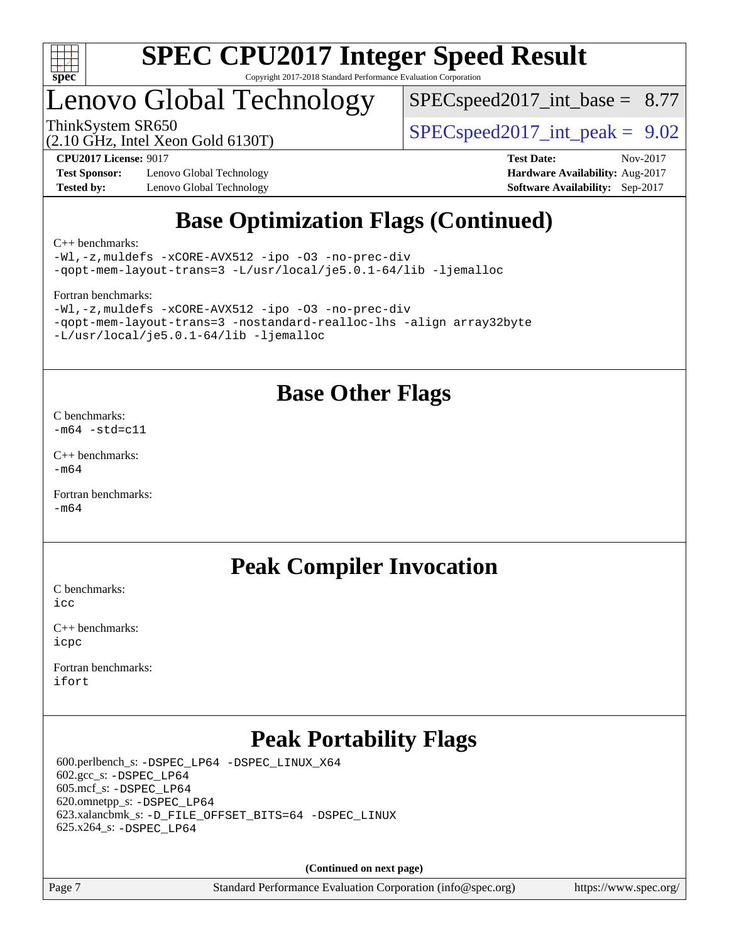

# Lenovo Global Technology

 $SPECspeed2017\_int\_base = 8.77$ 

(2.10 GHz, Intel Xeon Gold 6130T)

ThinkSystem SR650  $SPEC speed2017$  int peak = 9.02

**[Test Sponsor:](http://www.spec.org/auto/cpu2017/Docs/result-fields.html#TestSponsor)** Lenovo Global Technology **[Hardware Availability:](http://www.spec.org/auto/cpu2017/Docs/result-fields.html#HardwareAvailability)** Aug-2017 **[Tested by:](http://www.spec.org/auto/cpu2017/Docs/result-fields.html#Testedby)** Lenovo Global Technology **[Software Availability:](http://www.spec.org/auto/cpu2017/Docs/result-fields.html#SoftwareAvailability)** Sep-2017

**[CPU2017 License:](http://www.spec.org/auto/cpu2017/Docs/result-fields.html#CPU2017License)** 9017 **[Test Date:](http://www.spec.org/auto/cpu2017/Docs/result-fields.html#TestDate)** Nov-2017

# **[Base Optimization Flags \(Continued\)](http://www.spec.org/auto/cpu2017/Docs/result-fields.html#BaseOptimizationFlags)**

[C++ benchmarks:](http://www.spec.org/auto/cpu2017/Docs/result-fields.html#CXXbenchmarks)

[-Wl,-z,muldefs](http://www.spec.org/cpu2017/results/res2017q4/cpu2017-20171127-01061.flags.html#user_CXXbase_link_force_multiple1_b4cbdb97b34bdee9ceefcfe54f4c8ea74255f0b02a4b23e853cdb0e18eb4525ac79b5a88067c842dd0ee6996c24547a27a4b99331201badda8798ef8a743f577) [-xCORE-AVX512](http://www.spec.org/cpu2017/results/res2017q4/cpu2017-20171127-01061.flags.html#user_CXXbase_f-xCORE-AVX512) [-ipo](http://www.spec.org/cpu2017/results/res2017q4/cpu2017-20171127-01061.flags.html#user_CXXbase_f-ipo) [-O3](http://www.spec.org/cpu2017/results/res2017q4/cpu2017-20171127-01061.flags.html#user_CXXbase_f-O3) [-no-prec-div](http://www.spec.org/cpu2017/results/res2017q4/cpu2017-20171127-01061.flags.html#user_CXXbase_f-no-prec-div) [-qopt-mem-layout-trans=3](http://www.spec.org/cpu2017/results/res2017q4/cpu2017-20171127-01061.flags.html#user_CXXbase_f-qopt-mem-layout-trans_de80db37974c74b1f0e20d883f0b675c88c3b01e9d123adea9b28688d64333345fb62bc4a798493513fdb68f60282f9a726aa07f478b2f7113531aecce732043) [-L/usr/local/je5.0.1-64/lib](http://www.spec.org/cpu2017/results/res2017q4/cpu2017-20171127-01061.flags.html#user_CXXbase_jemalloc_link_path64_4b10a636b7bce113509b17f3bd0d6226c5fb2346b9178c2d0232c14f04ab830f976640479e5c33dc2bcbbdad86ecfb6634cbbd4418746f06f368b512fced5394) [-ljemalloc](http://www.spec.org/cpu2017/results/res2017q4/cpu2017-20171127-01061.flags.html#user_CXXbase_jemalloc_link_lib_d1249b907c500fa1c0672f44f562e3d0f79738ae9e3c4a9c376d49f265a04b9c99b167ecedbf6711b3085be911c67ff61f150a17b3472be731631ba4d0471706)

[Fortran benchmarks](http://www.spec.org/auto/cpu2017/Docs/result-fields.html#Fortranbenchmarks):

```
-Wl,-z,muldefs -xCORE-AVX512 -ipo -O3 -no-prec-div
-qopt-mem-layout-trans=3 -nostandard-realloc-lhs -align array32byte
-L/usr/local/je5.0.1-64/lib -ljemalloc
```
## **[Base Other Flags](http://www.spec.org/auto/cpu2017/Docs/result-fields.html#BaseOtherFlags)**

[C benchmarks](http://www.spec.org/auto/cpu2017/Docs/result-fields.html#Cbenchmarks):  $-m64 - std= c11$  $-m64 - std= c11$ 

[C++ benchmarks:](http://www.spec.org/auto/cpu2017/Docs/result-fields.html#CXXbenchmarks)  $-m64$ 

[Fortran benchmarks](http://www.spec.org/auto/cpu2017/Docs/result-fields.html#Fortranbenchmarks): [-m64](http://www.spec.org/cpu2017/results/res2017q4/cpu2017-20171127-01061.flags.html#user_FCbase_intel_intel64_18.0_af43caccfc8ded86e7699f2159af6efc7655f51387b94da716254467f3c01020a5059329e2569e4053f409e7c9202a7efc638f7a6d1ffb3f52dea4a3e31d82ab)

## **[Peak Compiler Invocation](http://www.spec.org/auto/cpu2017/Docs/result-fields.html#PeakCompilerInvocation)**

[C benchmarks](http://www.spec.org/auto/cpu2017/Docs/result-fields.html#Cbenchmarks):  $i$ cc

[C++ benchmarks:](http://www.spec.org/auto/cpu2017/Docs/result-fields.html#CXXbenchmarks) [icpc](http://www.spec.org/cpu2017/results/res2017q4/cpu2017-20171127-01061.flags.html#user_CXXpeak_intel_icpc_18.0_c510b6838c7f56d33e37e94d029a35b4a7bccf4766a728ee175e80a419847e808290a9b78be685c44ab727ea267ec2f070ec5dc83b407c0218cded6866a35d07)

[Fortran benchmarks](http://www.spec.org/auto/cpu2017/Docs/result-fields.html#Fortranbenchmarks): [ifort](http://www.spec.org/cpu2017/results/res2017q4/cpu2017-20171127-01061.flags.html#user_FCpeak_intel_ifort_18.0_8111460550e3ca792625aed983ce982f94888b8b503583aa7ba2b8303487b4d8a21a13e7191a45c5fd58ff318f48f9492884d4413fa793fd88dd292cad7027ca)

# **[Peak Portability Flags](http://www.spec.org/auto/cpu2017/Docs/result-fields.html#PeakPortabilityFlags)**

 600.perlbench\_s: [-DSPEC\\_LP64](http://www.spec.org/cpu2017/results/res2017q4/cpu2017-20171127-01061.flags.html#b600.perlbench_s_peakPORTABILITY_DSPEC_LP64) [-DSPEC\\_LINUX\\_X64](http://www.spec.org/cpu2017/results/res2017q4/cpu2017-20171127-01061.flags.html#b600.perlbench_s_peakCPORTABILITY_DSPEC_LINUX_X64) 602.gcc\_s: [-DSPEC\\_LP64](http://www.spec.org/cpu2017/results/res2017q4/cpu2017-20171127-01061.flags.html#suite_peakPORTABILITY602_gcc_s_DSPEC_LP64) 605.mcf\_s: [-DSPEC\\_LP64](http://www.spec.org/cpu2017/results/res2017q4/cpu2017-20171127-01061.flags.html#suite_peakPORTABILITY605_mcf_s_DSPEC_LP64) 620.omnetpp\_s: [-DSPEC\\_LP64](http://www.spec.org/cpu2017/results/res2017q4/cpu2017-20171127-01061.flags.html#suite_peakPORTABILITY620_omnetpp_s_DSPEC_LP64) 623.xalancbmk\_s: [-D\\_FILE\\_OFFSET\\_BITS=64](http://www.spec.org/cpu2017/results/res2017q4/cpu2017-20171127-01061.flags.html#user_peakPORTABILITY623_xalancbmk_s_file_offset_bits_64_5ae949a99b284ddf4e95728d47cb0843d81b2eb0e18bdfe74bbf0f61d0b064f4bda2f10ea5eb90e1dcab0e84dbc592acfc5018bc955c18609f94ddb8d550002c) [-DSPEC\\_LINUX](http://www.spec.org/cpu2017/results/res2017q4/cpu2017-20171127-01061.flags.html#b623.xalancbmk_s_peakCXXPORTABILITY_DSPEC_LINUX) 625.x264\_s: [-DSPEC\\_LP64](http://www.spec.org/cpu2017/results/res2017q4/cpu2017-20171127-01061.flags.html#suite_peakPORTABILITY625_x264_s_DSPEC_LP64)

**(Continued on next page)**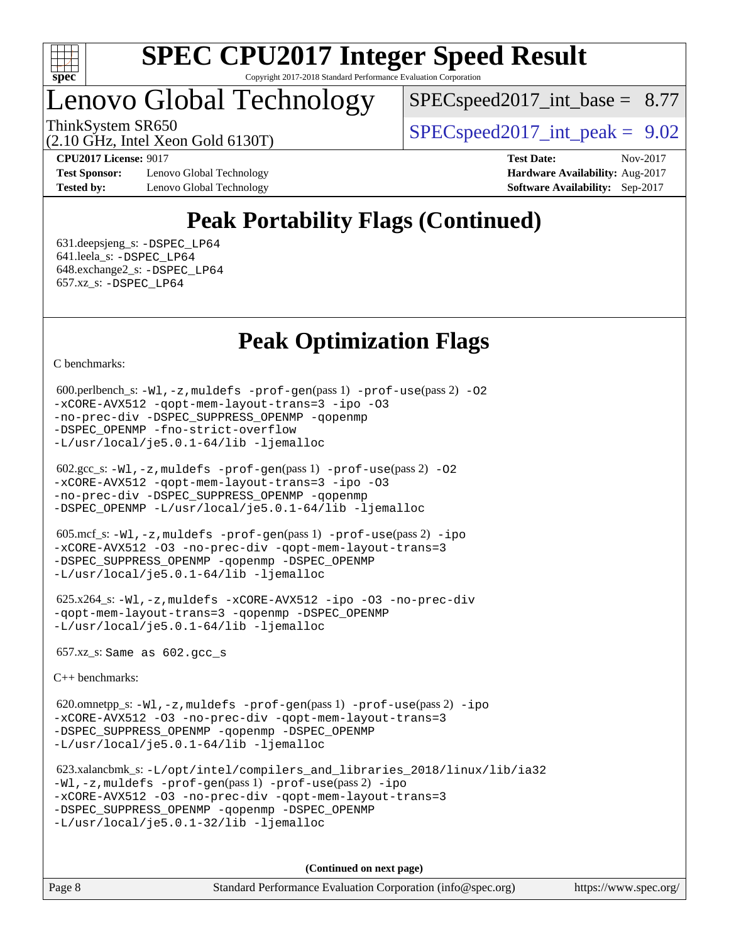

# Lenovo Global Technology

 $SPECspeed2017\_int\_base = 8.77$ 

ThinkSystem SR650  $SPEC speed2017$  int peak = 9.02

(2.10 GHz, Intel Xeon Gold 6130T)

**[Test Sponsor:](http://www.spec.org/auto/cpu2017/Docs/result-fields.html#TestSponsor)** Lenovo Global Technology **[Hardware Availability:](http://www.spec.org/auto/cpu2017/Docs/result-fields.html#HardwareAvailability)** Aug-2017 **[Tested by:](http://www.spec.org/auto/cpu2017/Docs/result-fields.html#Testedby)** Lenovo Global Technology **[Software Availability:](http://www.spec.org/auto/cpu2017/Docs/result-fields.html#SoftwareAvailability)** Sep-2017

**[CPU2017 License:](http://www.spec.org/auto/cpu2017/Docs/result-fields.html#CPU2017License)** 9017 **[Test Date:](http://www.spec.org/auto/cpu2017/Docs/result-fields.html#TestDate)** Nov-2017

# **[Peak Portability Flags \(Continued\)](http://www.spec.org/auto/cpu2017/Docs/result-fields.html#PeakPortabilityFlags)**

 631.deepsjeng\_s: [-DSPEC\\_LP64](http://www.spec.org/cpu2017/results/res2017q4/cpu2017-20171127-01061.flags.html#suite_peakPORTABILITY631_deepsjeng_s_DSPEC_LP64) 641.leela\_s: [-DSPEC\\_LP64](http://www.spec.org/cpu2017/results/res2017q4/cpu2017-20171127-01061.flags.html#suite_peakPORTABILITY641_leela_s_DSPEC_LP64) 648.exchange2\_s: [-DSPEC\\_LP64](http://www.spec.org/cpu2017/results/res2017q4/cpu2017-20171127-01061.flags.html#suite_peakPORTABILITY648_exchange2_s_DSPEC_LP64) 657.xz\_s: [-DSPEC\\_LP64](http://www.spec.org/cpu2017/results/res2017q4/cpu2017-20171127-01061.flags.html#suite_peakPORTABILITY657_xz_s_DSPEC_LP64)

# **[Peak Optimization Flags](http://www.spec.org/auto/cpu2017/Docs/result-fields.html#PeakOptimizationFlags)**

[C benchmarks](http://www.spec.org/auto/cpu2017/Docs/result-fields.html#Cbenchmarks):

```
600.perlbench_s: -W1-prof-gen-prof-use(pass 2) -02
-xCORE-AVX512 -qopt-mem-layout-trans=3 -ipo -O3
-no-prec-div -DSPEC_SUPPRESS_OPENMP -qopenmp
-DSPEC_OPENMP -fno-strict-overflow
-L/usr/local/je5.0.1-64/lib -ljemalloc
```

```
 602.gcc_s: -Wl,-z,muldefs -prof-gen(pass 1) -prof-use(pass 2) -O2
-xCORE-AVX512 -qopt-mem-layout-trans=3 -ipo -O3
-no-prec-div -DSPEC_SUPPRESS_OPENMP -qopenmp
-DSPEC_OPENMP -L/usr/local/je5.0.1-64/lib -ljemalloc
```

```
 605.mcf_s: -Wl,-z,muldefs -prof-gen(pass 1) -prof-use(pass 2) -ipo
-xCORE-AVX512 -O3 -no-prec-div -qopt-mem-layout-trans=3
-DSPEC_SUPPRESS_OPENMP -qopenmp -DSPEC_OPENMP
-L/usr/local/je5.0.1-64/lib -ljemalloc
```

```
 625.x264_s: -Wl,-z,muldefs -xCORE-AVX512 -ipo -O3 -no-prec-div
-qopt-mem-layout-trans=3 -qopenmp -DSPEC_OPENMP
-L/usr/local/je5.0.1-64/lib -ljemalloc
```
657.xz\_s: Same as 602.gcc\_s

[C++ benchmarks:](http://www.spec.org/auto/cpu2017/Docs/result-fields.html#CXXbenchmarks)

 620.omnetpp\_s: [-Wl,-z,muldefs](http://www.spec.org/cpu2017/results/res2017q4/cpu2017-20171127-01061.flags.html#user_peakEXTRA_LDFLAGS620_omnetpp_s_link_force_multiple1_b4cbdb97b34bdee9ceefcfe54f4c8ea74255f0b02a4b23e853cdb0e18eb4525ac79b5a88067c842dd0ee6996c24547a27a4b99331201badda8798ef8a743f577) [-prof-gen](http://www.spec.org/cpu2017/results/res2017q4/cpu2017-20171127-01061.flags.html#user_peakPASS1_CXXFLAGSPASS1_LDFLAGS620_omnetpp_s_prof_gen_5aa4926d6013ddb2a31985c654b3eb18169fc0c6952a63635c234f711e6e63dd76e94ad52365559451ec499a2cdb89e4dc58ba4c67ef54ca681ffbe1461d6b36)(pass 1) [-prof-use](http://www.spec.org/cpu2017/results/res2017q4/cpu2017-20171127-01061.flags.html#user_peakPASS2_CXXFLAGSPASS2_LDFLAGS620_omnetpp_s_prof_use_1a21ceae95f36a2b53c25747139a6c16ca95bd9def2a207b4f0849963b97e94f5260e30a0c64f4bb623698870e679ca08317ef8150905d41bd88c6f78df73f19)(pass 2) [-ipo](http://www.spec.org/cpu2017/results/res2017q4/cpu2017-20171127-01061.flags.html#user_peakPASS1_CXXOPTIMIZEPASS2_CXXOPTIMIZE620_omnetpp_s_f-ipo) [-xCORE-AVX512](http://www.spec.org/cpu2017/results/res2017q4/cpu2017-20171127-01061.flags.html#user_peakPASS2_CXXOPTIMIZE620_omnetpp_s_f-xCORE-AVX512) [-O3](http://www.spec.org/cpu2017/results/res2017q4/cpu2017-20171127-01061.flags.html#user_peakPASS1_CXXOPTIMIZEPASS2_CXXOPTIMIZE620_omnetpp_s_f-O3) [-no-prec-div](http://www.spec.org/cpu2017/results/res2017q4/cpu2017-20171127-01061.flags.html#user_peakPASS1_CXXOPTIMIZEPASS2_CXXOPTIMIZE620_omnetpp_s_f-no-prec-div) [-qopt-mem-layout-trans=3](http://www.spec.org/cpu2017/results/res2017q4/cpu2017-20171127-01061.flags.html#user_peakPASS1_CXXOPTIMIZEPASS2_CXXOPTIMIZE620_omnetpp_s_f-qopt-mem-layout-trans_de80db37974c74b1f0e20d883f0b675c88c3b01e9d123adea9b28688d64333345fb62bc4a798493513fdb68f60282f9a726aa07f478b2f7113531aecce732043) [-DSPEC\\_SUPPRESS\\_OPENMP](http://www.spec.org/cpu2017/results/res2017q4/cpu2017-20171127-01061.flags.html#suite_peakPASS1_CXXOPTIMIZE620_omnetpp_s_DSPEC_SUPPRESS_OPENMP) [-qopenmp](http://www.spec.org/cpu2017/results/res2017q4/cpu2017-20171127-01061.flags.html#user_peakPASS2_CXXOPTIMIZE620_omnetpp_s_qopenmp_16be0c44f24f464004c6784a7acb94aca937f053568ce72f94b139a11c7c168634a55f6653758ddd83bcf7b8463e8028bb0b48b77bcddc6b78d5d95bb1df2967) [-DSPEC\\_OPENMP](http://www.spec.org/cpu2017/results/res2017q4/cpu2017-20171127-01061.flags.html#suite_peakPASS2_CXXOPTIMIZE620_omnetpp_s_DSPEC_OPENMP) [-L/usr/local/je5.0.1-64/lib](http://www.spec.org/cpu2017/results/res2017q4/cpu2017-20171127-01061.flags.html#user_peakEXTRA_LIBS620_omnetpp_s_jemalloc_link_path64_4b10a636b7bce113509b17f3bd0d6226c5fb2346b9178c2d0232c14f04ab830f976640479e5c33dc2bcbbdad86ecfb6634cbbd4418746f06f368b512fced5394) [-ljemalloc](http://www.spec.org/cpu2017/results/res2017q4/cpu2017-20171127-01061.flags.html#user_peakEXTRA_LIBS620_omnetpp_s_jemalloc_link_lib_d1249b907c500fa1c0672f44f562e3d0f79738ae9e3c4a9c376d49f265a04b9c99b167ecedbf6711b3085be911c67ff61f150a17b3472be731631ba4d0471706)

```
 623.xalancbmk_s: -L/opt/intel/compilers_and_libraries_2018/linux/lib/ia32
-Wl,-z,muldefs -prof-gen(pass 1) -prof-use(pass 2) -ipo
-xCORE-AVX512 -O3 -no-prec-div -qopt-mem-layout-trans=3
-DSPEC_SUPPRESS_OPENMP -qopenmp -DSPEC_OPENMP
-L/usr/local/je5.0.1-32/lib -ljemalloc
```
**(Continued on next page)**